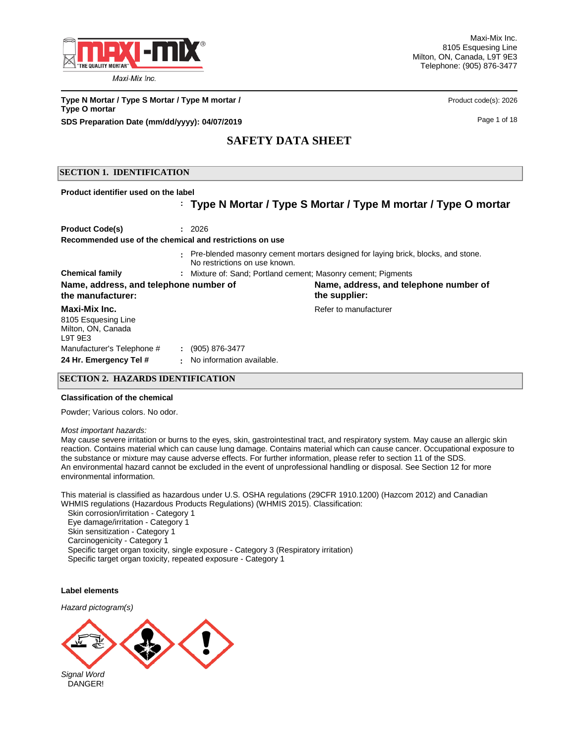

**Type N Mortar / Type S Mortar / Type M mortar /** <br> **Product code(s): 2026 Type O mortar SDS Preparation Date (mm/dd/yyyy): 04/07/2019 Page 1 of 18** Page 1 of 18

# **SAFETY DATA SHEET**

## **SECTION 1. IDENTIFICATION**

**Product identifier used on the label** 

## **Type N Mortar / Type S Mortar / Type M mortar / Type O mortar :**

| <b>Product Code(s)</b>                                               | : 2026                                             |                                                                                  |  |  |
|----------------------------------------------------------------------|----------------------------------------------------|----------------------------------------------------------------------------------|--|--|
| Recommended use of the chemical and restrictions on use              |                                                    |                                                                                  |  |  |
|                                                                      | No restrictions on use known.                      | Pre-blended masonry cement mortars designed for laying brick, blocks, and stone. |  |  |
| <b>Chemical family</b>                                               |                                                    | : Mixture of: Sand: Portland cement: Masonry cement: Pigments                    |  |  |
| Name, address, and telephone number of<br>the manufacturer:          |                                                    | Name, address, and telephone number of<br>the supplier:                          |  |  |
| Maxi-Mix Inc.<br>8105 Esquesing Line<br>Milton, ON, Canada<br>L9T9E3 |                                                    | Refer to manufacturer                                                            |  |  |
| Manufacturer's Telephone #<br>24 Hr. Emergency Tel #                 | $\div$ (905) 876-3477<br>No information available. |                                                                                  |  |  |

#### **SECTION 2. HAZARDS IDENTIFICATION**

#### **Classification of the chemical**

Powder; Various colors. No odor.

#### *Most important hazards:*

May cause severe irritation or burns to the eyes, skin, gastrointestinal tract, and respiratory system. May cause an allergic skin reaction. Contains material which can cause lung damage. Contains material which can cause cancer. Occupational exposure to the substance or mixture may cause adverse effects. For further information, please refer to section 11 of the SDS. An environmental hazard cannot be excluded in the event of unprofessional handling or disposal. See Section 12 for more environmental information.

This material is classified as hazardous under U.S. OSHA regulations (29CFR 1910.1200) (Hazcom 2012) and Canadian WHMIS regulations (Hazardous Products Regulations) (WHMIS 2015). Classification:

 Skin corrosion/irritation - Category 1 Eye damage/irritation - Category 1 Skin sensitization - Category 1 Carcinogenicity - Category 1 Specific target organ toxicity, single exposure - Category 3 (Respiratory irritation) Specific target organ toxicity, repeated exposure - Category 1

#### **Label elements**

*Hazard pictogram(s)*

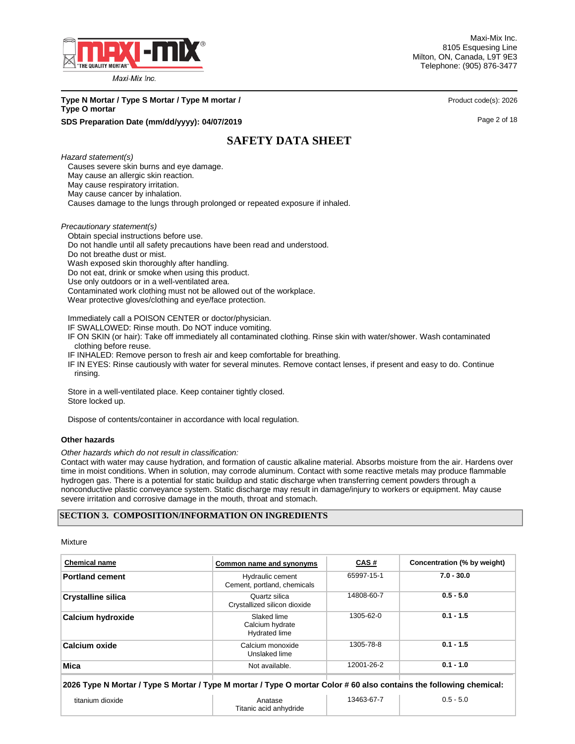

Maxi-Mix Inc. 8105 Esquesing Line Milton, ON, Canada, L9T 9E3 Telephone: (905) 876-3477

# **Type N Mortar / Type S Mortar / Type M mortar /** <br> **Product code(s): 2026 Type O mortar**

## **SDS Preparation Date (mm/dd/yyyy): 04/07/2019 Page 2 of 18 Page 2 of 18**

# **SAFETY DATA SHEET**

*Hazard statement(s)*

Causes severe skin burns and eye damage.

May cause an allergic skin reaction.

 May cause respiratory irritation. May cause cancer by inhalation.

Causes damage to the lungs through prolonged or repeated exposure if inhaled.

*Precautionary statement(s)*

Obtain special instructions before use.

Do not handle until all safety precautions have been read and understood.

Do not breathe dust or mist.

Wash exposed skin thoroughly after handling.

Do not eat, drink or smoke when using this product.

Use only outdoors or in a well-ventilated area.

Contaminated work clothing must not be allowed out of the workplace.

Wear protective gloves/clothing and eye/face protection.

Immediately call a POISON CENTER or doctor/physician.

IF SWALLOWED: Rinse mouth. Do NOT induce vomiting.

 IF ON SKIN (or hair): Take off immediately all contaminated clothing. Rinse skin with water/shower. Wash contaminated clothing before reuse.

IF INHALED: Remove person to fresh air and keep comfortable for breathing.

 IF IN EYES: Rinse cautiously with water for several minutes. Remove contact lenses, if present and easy to do. Continue rinsing.

 Store in a well-ventilated place. Keep container tightly closed. Store locked up.

Dispose of contents/container in accordance with local regulation.

#### **Other hazards**

*Other hazards which do not result in classification:* 

Contact with water may cause hydration, and formation of caustic alkaline material. Absorbs moisture from the air. Hardens over time in moist conditions. When in solution, may corrode aluminum. Contact with some reactive metals may produce flammable hydrogen gas. There is a potential for static buildup and static discharge when transferring cement powders through a nonconductive plastic conveyance system. Static discharge may result in damage/injury to workers or equipment. May cause severe irritation and corrosive damage in the mouth, throat and stomach.

## **SECTION 3. COMPOSITION/INFORMATION ON INGREDIENTS**

Mixture

| <b>Chemical name</b>                                                                                                | Common name and synonyms                        | CAS#       | Concentration (% by weight) |  |  |
|---------------------------------------------------------------------------------------------------------------------|-------------------------------------------------|------------|-----------------------------|--|--|
| <b>Portland cement</b>                                                                                              | Hydraulic cement<br>Cement, portland, chemicals | 65997-15-1 | $7.0 - 30.0$                |  |  |
| <b>Crystalline silica</b>                                                                                           | Quartz silica<br>Crystallized silicon dioxide   | 14808-60-7 | $0.5 - 5.0$                 |  |  |
| <b>Calcium hydroxide</b>                                                                                            | Slaked lime<br>Calcium hydrate<br>Hydrated lime | 1305-62-0  | $0.1 - 1.5$                 |  |  |
| <b>Calcium oxide</b>                                                                                                | Calcium monoxide<br>Unslaked lime               | 1305-78-8  | $0.1 - 1.5$                 |  |  |
| <b>Mica</b>                                                                                                         | Not available.                                  | 12001-26-2 | $0.1 - 1.0$                 |  |  |
| 2026 Type N Mortar / Type S Mortar / Type M mortar / Type O mortar Color # 60 also contains the following chemical: |                                                 |            |                             |  |  |
| titanium dioxide                                                                                                    | Anatase<br>Titanic acid anhydride               | 13463-67-7 | $0.5 - 5.0$                 |  |  |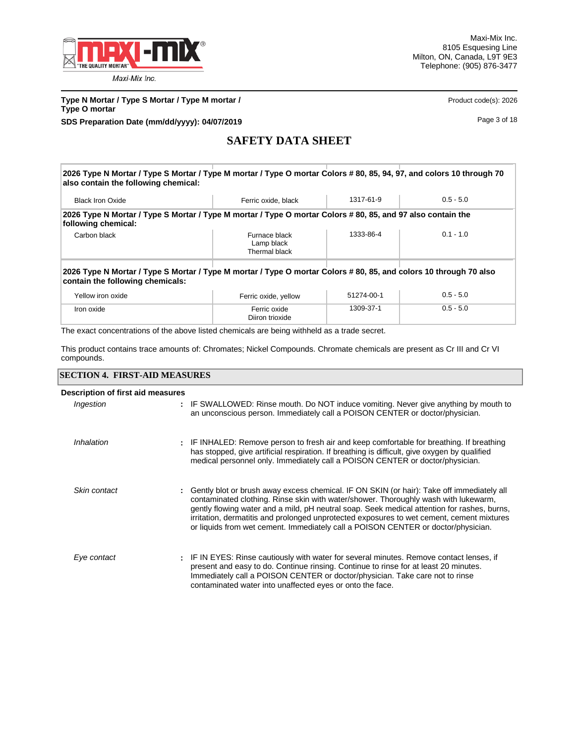

**Type N Mortar / Type S Mortar / Type M mortar /** <br> **Product code(s): 2026 Type O mortar SDS Preparation Date (mm/dd/yyyy): 04/07/2019 Page 3 of 18** 

# **SAFETY DATA SHEET**

**2026 Type N Mortar / Type S Mortar / Type M mortar / Type O mortar Colors # 80, 85, 94, 97, and colors 10 through 70 also contain the following chemical:** Black Iron Oxide **Ferric oxide, black** 1317-61-9 0.5 - 5.0 **2026 Type N Mortar / Type S Mortar / Type M mortar / Type O mortar Colors # 80, 85, and 97 also contain the following chemical:** Carbon black **Furnace black** 1333-86-4 0.1 - 1.0 Lamp black Thermal black **2026 Type N Mortar / Type S Mortar / Type M mortar / Type O mortar Colors # 80, 85, and colors 10 through 70 also contain the following chemicals:** Yellow iron oxide **Ferric oxide, yellow** 51274-00-1 0.5 - 5.0 Iron oxide Ferric oxide 1309-37-1 0.5 - 5.0

The exact concentrations of the above listed chemicals are being withheld as a trade secret.

This product contains trace amounts of: Chromates; Nickel Compounds. Chromate chemicals are present as Cr III and Cr VI compounds.

Diiron trioxide

## **SECTION 4. FIRST-AID MEASURES**

| Description of first aid measures |                                                                                                                                                                                                                                                                                                                                                                                                                                                                   |
|-----------------------------------|-------------------------------------------------------------------------------------------------------------------------------------------------------------------------------------------------------------------------------------------------------------------------------------------------------------------------------------------------------------------------------------------------------------------------------------------------------------------|
| Ingestion                         | : IF SWALLOWED: Rinse mouth. Do NOT induce vomiting. Never give anything by mouth to<br>an unconscious person. Immediately call a POISON CENTER or doctor/physician.                                                                                                                                                                                                                                                                                              |
| Inhalation                        | : IF INHALED: Remove person to fresh air and keep comfortable for breathing. If breathing<br>has stopped, give artificial respiration. If breathing is difficult, give oxygen by qualified<br>medical personnel only. Immediately call a POISON CENTER or doctor/physician.                                                                                                                                                                                       |
| Skin contact                      | Gently blot or brush away excess chemical. IF ON SKIN (or hair): Take off immediately all<br>contaminated clothing. Rinse skin with water/shower. Thoroughly wash with lukewarm,<br>gently flowing water and a mild, pH neutral soap. Seek medical attention for rashes, burns,<br>irritation, dermatitis and prolonged unprotected exposures to wet cement, cement mixtures<br>or liquids from wet cement. Immediately call a POISON CENTER or doctor/physician. |
| Eye contact                       | : IF IN EYES: Rinse cautiously with water for several minutes. Remove contact lenses, if<br>present and easy to do. Continue rinsing. Continue to rinse for at least 20 minutes.<br>Immediately call a POISON CENTER or doctor/physician. Take care not to rinse<br>contaminated water into unaffected eyes or onto the face.                                                                                                                                     |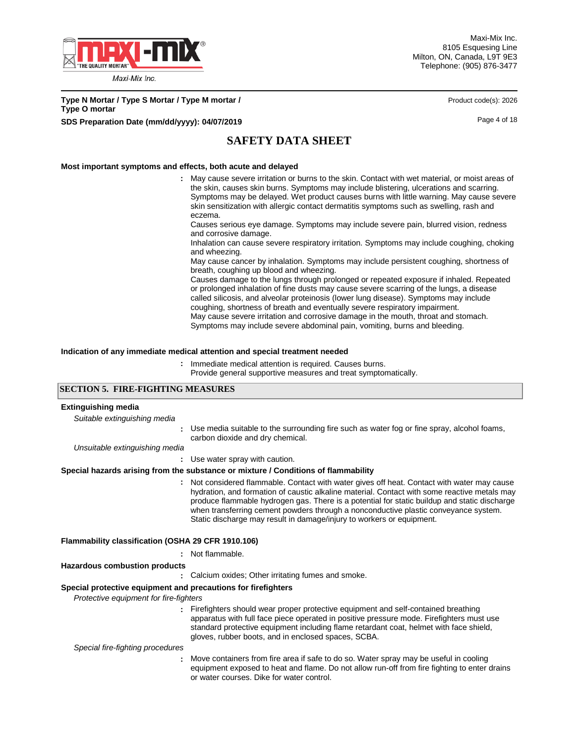

**Type N Mortar / Type S Mortar / Type M mortar / Product code(s): 2026 Product code(s): 2026 Type O mortar SDS Preparation Date (mm/dd/yyyy): 04/07/2019 Page 4 of 18** 

# **SAFETY DATA SHEET**

#### **Most important symptoms and effects, both acute and delayed**

May cause severe irritation or burns to the skin. Contact with wet material, or moist areas of **:** the skin, causes skin burns. Symptoms may include blistering, ulcerations and scarring. Symptoms may be delayed. Wet product causes burns with little warning. May cause severe skin sensitization with allergic contact dermatitis symptoms such as swelling, rash and eczema.

Causes serious eye damage. Symptoms may include severe pain, blurred vision, redness and corrosive damage.

Inhalation can cause severe respiratory irritation. Symptoms may include coughing, choking and wheezing.

May cause cancer by inhalation. Symptoms may include persistent coughing, shortness of breath, coughing up blood and wheezing.

Causes damage to the lungs through prolonged or repeated exposure if inhaled. Repeated or prolonged inhalation of fine dusts may cause severe scarring of the lungs, a disease called silicosis, and alveolar proteinosis (lower lung disease). Symptoms may include coughing, shortness of breath and eventually severe respiratory impairment. May cause severe irritation and corrosive damage in the mouth, throat and stomach. Symptoms may include severe abdominal pain, vomiting, burns and bleeding.

#### **Indication of any immediate medical attention and special treatment needed**

**:** Immediate medical attention is required. Causes burns.

Provide general supportive measures and treat symptomatically.

## **SECTION 5. FIRE-FIGHTING MEASURES**

| <b>Extinguishing media</b>                                    |                                                                                                                                                                                                                                                                                                                                                                                                                                                           |
|---------------------------------------------------------------|-----------------------------------------------------------------------------------------------------------------------------------------------------------------------------------------------------------------------------------------------------------------------------------------------------------------------------------------------------------------------------------------------------------------------------------------------------------|
| Suitable extinguishing media                                  |                                                                                                                                                                                                                                                                                                                                                                                                                                                           |
|                                                               | Use media suitable to the surrounding fire such as water fog or fine spray, alcohol foams,<br>carbon dioxide and dry chemical.                                                                                                                                                                                                                                                                                                                            |
| Unsuitable extinguishing media                                |                                                                                                                                                                                                                                                                                                                                                                                                                                                           |
|                                                               | : Use water spray with caution.                                                                                                                                                                                                                                                                                                                                                                                                                           |
|                                                               | Special hazards arising from the substance or mixture / Conditions of flammability                                                                                                                                                                                                                                                                                                                                                                        |
|                                                               | Not considered flammable. Contact with water gives off heat. Contact with water may cause<br>hydration, and formation of caustic alkaline material. Contact with some reactive metals may<br>produce flammable hydrogen gas. There is a potential for static buildup and static discharge<br>when transferring cement powders through a nonconductive plastic conveyance system.<br>Static discharge may result in damage/injury to workers or equipment. |
| Flammability classification (OSHA 29 CFR 1910.106)            |                                                                                                                                                                                                                                                                                                                                                                                                                                                           |
|                                                               | : Not flammable.                                                                                                                                                                                                                                                                                                                                                                                                                                          |
| <b>Hazardous combustion products</b>                          |                                                                                                                                                                                                                                                                                                                                                                                                                                                           |
|                                                               | Calcium oxides; Other irritating fumes and smoke.                                                                                                                                                                                                                                                                                                                                                                                                         |
| Special protective equipment and precautions for firefighters |                                                                                                                                                                                                                                                                                                                                                                                                                                                           |
| Protective equipment for fire-fighters                        |                                                                                                                                                                                                                                                                                                                                                                                                                                                           |
|                                                               | : Firefighters should wear proper protective equipment and self-contained breathing<br>apparatus with full face piece operated in positive pressure mode. Firefighters must use<br>standard protective equipment including flame retardant coat, helmet with face shield,<br>gloves, rubber boots, and in enclosed spaces, SCBA.                                                                                                                          |
| Special fire-fighting procedures                              |                                                                                                                                                                                                                                                                                                                                                                                                                                                           |
|                                                               | Move containers from fire area if safe to do so. Water spray may be useful in cooling<br>equipment exposed to heat and flame. Do not allow run-off from fire fighting to enter drains<br>or water courses. Dike for water control.                                                                                                                                                                                                                        |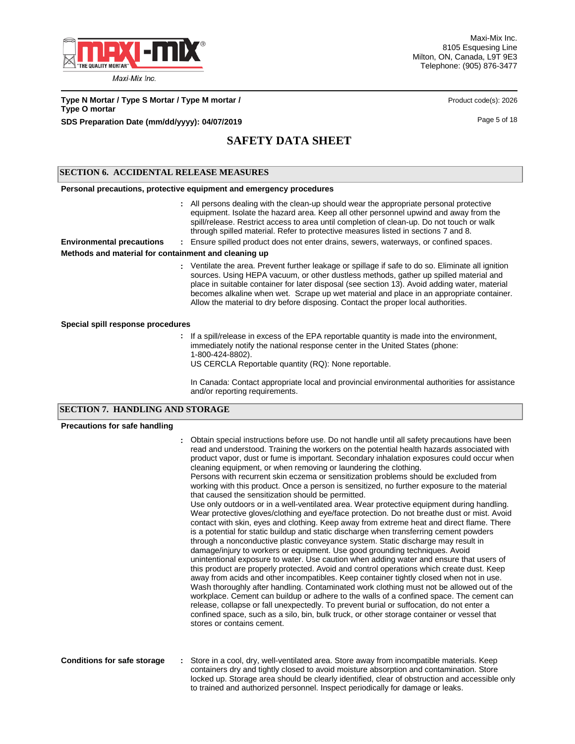

Maxi-Mix Inc. 8105 Esquesing Line Milton, ON, Canada, L9T 9E3 Telephone: (905) 876-3477

**Type N Mortar / Type S Mortar / Type M mortar / Product code(s): 2026 Product code(s): 2026 Type O mortar SDS Preparation Date (mm/dd/yyyy): 04/07/2019 Page 5 of 18 Page 5 of 18** 

# **SAFETY DATA SHEET**

## **SECTION 6. ACCIDENTAL RELEASE MEASURES**

#### **Personal precautions, protective equipment and emergency procedures**

All persons dealing with the clean-up should wear the appropriate personal protective **:** equipment. Isolate the hazard area. Keep all other personnel upwind and away from the spill/release. Restrict access to area until completion of clean-up. Do not touch or walk through spilled material. Refer to protective measures listed in sections 7 and 8.

**Environmental precautions :** Ensure spilled product does not enter drains, sewers, waterways, or confined spaces.

## **Methods and material for containment and cleaning up**

Ventilate the area. Prevent further leakage or spillage if safe to do so. Eliminate all ignition **:** sources. Using HEPA vacuum, or other dustless methods, gather up spilled material and place in suitable container for later disposal (see section 13). Avoid adding water, material becomes alkaline when wet. Scrape up wet material and place in an appropriate container. Allow the material to dry before disposing. Contact the proper local authorities.

#### **Special spill response procedures**

- **:** If a spill/release in excess of the EPA reportable quantity is made into the environment, immediately notify the national response center in the United States (phone: 1-800-424-8802).
	- US CERCLA Reportable quantity (RQ): None reportable.

In Canada: Contact appropriate local and provincial environmental authorities for assistance and/or reporting requirements.

## **SECTION 7. HANDLING AND STORAGE**

#### **Precautions for safe handling**

|                                    | Obtain special instructions before use. Do not handle until all safety precautions have been<br>read and understood. Training the workers on the potential health hazards associated with<br>product vapor, dust or fume is important. Secondary inhalation exposures could occur when<br>cleaning equipment, or when removing or laundering the clothing.<br>Persons with recurrent skin eczema or sensitization problems should be excluded from<br>working with this product. Once a person is sensitized, no further exposure to the material<br>that caused the sensitization should be permitted.<br>Use only outdoors or in a well-ventilated area. Wear protective equipment during handling.<br>Wear protective gloves/clothing and eye/face protection. Do not breathe dust or mist. Avoid<br>contact with skin, eyes and clothing. Keep away from extreme heat and direct flame. There<br>is a potential for static buildup and static discharge when transferring cement powders<br>through a nonconductive plastic conveyance system. Static discharge may result in<br>damage/injury to workers or equipment. Use good grounding techniques. Avoid<br>unintentional exposure to water. Use caution when adding water and ensure that users of<br>this product are properly protected. Avoid and control operations which create dust. Keep<br>away from acids and other incompatibles. Keep container tightly closed when not in use.<br>Wash thoroughly after handling. Contaminated work clothing must not be allowed out of the<br>workplace. Cement can buildup or adhere to the walls of a confined space. The cement can<br>release, collapse or fall unexpectedly. To prevent burial or suffocation, do not enter a<br>confined space, such as a silo, bin, bulk truck, or other storage container or vessel that<br>stores or contains cement. |
|------------------------------------|----------------------------------------------------------------------------------------------------------------------------------------------------------------------------------------------------------------------------------------------------------------------------------------------------------------------------------------------------------------------------------------------------------------------------------------------------------------------------------------------------------------------------------------------------------------------------------------------------------------------------------------------------------------------------------------------------------------------------------------------------------------------------------------------------------------------------------------------------------------------------------------------------------------------------------------------------------------------------------------------------------------------------------------------------------------------------------------------------------------------------------------------------------------------------------------------------------------------------------------------------------------------------------------------------------------------------------------------------------------------------------------------------------------------------------------------------------------------------------------------------------------------------------------------------------------------------------------------------------------------------------------------------------------------------------------------------------------------------------------------------------------------------------------------------------------------------------------------------------------------|
| <b>Conditions for safe storage</b> | Store in a cool, dry, well-ventilated area. Store away from incompatible materials. Keep<br>containers dry and tightly closed to avoid moisture absorption and contamination. Store<br>locked up. Storage area should be clearly identified, clear of obstruction and accessible only<br>to trained and authorized personnel. Inspect periodically for damage or leaks.                                                                                                                                                                                                                                                                                                                                                                                                                                                                                                                                                                                                                                                                                                                                                                                                                                                                                                                                                                                                                                                                                                                                                                                                                                                                                                                                                                                                                                                                                              |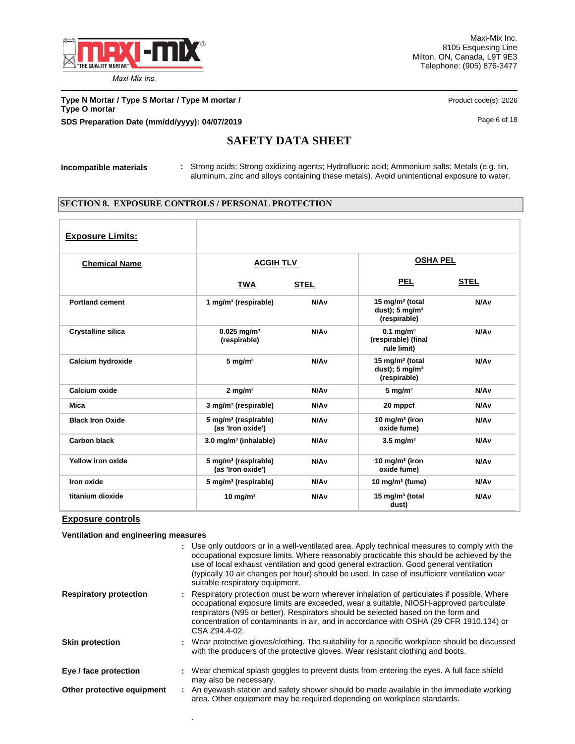

Maxi-Mix Inc. 8105 Esquesing Line Milton, ON, Canada, L9T 9E3 Telephone: (905) 876-3477

**Type N Mortar / Type S Mortar / Type M mortar /** <br> **Product code(s): 2026 Type O mortar SDS Preparation Date (mm/dd/yyyy): 04/07/2019 Page 6 of 18** Page 6 of 18

# **SAFETY DATA SHEET**

**Incompatible materials :** Strong acids; Strong oxidizing agents; Hydrofluoric acid; Ammonium salts; Metals (e.g. tin, aluminum, zinc and alloys containing these metals). Avoid unintentional exposure to water.

## **SECTION 8. EXPOSURE CONTROLS / PERSONAL PROTECTION**

| <b>Exposure Limits:</b>   |                                                       |                  |                                                                          |                  |  |
|---------------------------|-------------------------------------------------------|------------------|--------------------------------------------------------------------------|------------------|--|
| <b>Chemical Name</b>      |                                                       | <b>ACGIH TLV</b> |                                                                          | <b>OSHA PEL</b>  |  |
|                           | <b>TWA</b>                                            | <b>STEL</b>      | <u>PEL</u>                                                               | <b>STEL</b>      |  |
| <b>Portland cement</b>    | 1 mg/m <sup>3</sup> (respirable)                      | N/A <sub>v</sub> | 15 mg/m <sup>3</sup> (total<br>dust); $5 \text{ mg/m}^3$<br>(respirable) | N/A <sub>v</sub> |  |
| <b>Crystalline silica</b> | $0.025$ mg/m <sup>3</sup><br>(respirable)             | N/A <sub>v</sub> | $0.1$ mg/m <sup>3</sup><br>(respirable) (final<br>rule limit)            | N/A <sub>v</sub> |  |
| Calcium hydroxide         | $5 \text{ mg/m}^3$                                    | N/A <sub>v</sub> | 15 mg/m <sup>3</sup> (total<br>dust); $5 \text{ mg/m}^3$<br>(respirable) | N/A <sub>v</sub> |  |
| Calcium oxide             | $2 \text{ mg/m}^3$                                    | N/A <sub>v</sub> | $5 \text{ mg/m}^3$                                                       | N/A <sub>v</sub> |  |
| Mica                      | 3 mg/m <sup>3</sup> (respirable)                      | N/A <sub>v</sub> | 20 mppcf                                                                 | N/A <sub>v</sub> |  |
| <b>Black Iron Oxide</b>   | 5 mg/m <sup>3</sup> (respirable)<br>(as 'Iron oxide') | N/A <sub>v</sub> | 10 mg/m $3$ (iron<br>oxide fume)                                         | N/A <sub>v</sub> |  |
| <b>Carbon black</b>       | 3.0 mg/m <sup>3</sup> (inhalable)                     | N/A <sub>v</sub> | $3.5$ mg/m <sup>3</sup>                                                  | N/A <sub>v</sub> |  |
| Yellow iron oxide         | 5 mg/m <sup>3</sup> (respirable)<br>(as 'Iron oxide') | N/A <sub>v</sub> | 10 mg/m $3$ (iron<br>oxide fume)                                         | N/A <sub>v</sub> |  |
| Iron oxide                | 5 mg/m <sup>3</sup> (respirable)                      | N/A <sub>v</sub> | 10 mg/m $3$ (fume)                                                       | N/A <sub>v</sub> |  |
| titanium dioxide          | $10 \text{ mg/m}^3$                                   | N/A <sub>v</sub> | 15 mg/m <sup>3</sup> (total<br>dust)                                     | N/A <sub>v</sub> |  |

## **Exposure controls**

**Ventilation and engineering measures**

.

|                               | : Use only outdoors or in a well-ventilated area. Apply technical measures to comply with the<br>occupational exposure limits. Where reasonably practicable this should be achieved by the<br>use of local exhaust ventilation and good general extraction. Good general ventilation<br>(typically 10 air changes per hour) should be used. In case of insufficient ventilation wear<br>suitable respiratory equipment. |
|-------------------------------|-------------------------------------------------------------------------------------------------------------------------------------------------------------------------------------------------------------------------------------------------------------------------------------------------------------------------------------------------------------------------------------------------------------------------|
| <b>Respiratory protection</b> | : Respiratory protection must be worn wherever inhalation of particulates if possible. Where<br>occupational exposure limits are exceeded, wear a suitable, NIOSH-approved particulate<br>respirators (N95 or better). Respirators should be selected based on the form and<br>concentration of contaminants in air, and in accordance with OSHA (29 CFR 1910.134) or<br>CSA Z94.4-02.                                  |
| <b>Skin protection</b>        | : Wear protective gloves/clothing. The suitability for a specific workplace should be discussed<br>with the producers of the protective gloves. Wear resistant clothing and boots.                                                                                                                                                                                                                                      |
| Eye / face protection         | : Wear chemical splash goggles to prevent dusts from entering the eyes. A full face shield<br>may also be necessary.                                                                                                                                                                                                                                                                                                    |
| Other protective equipment    | : An eyewash station and safety shower should be made available in the immediate working<br>area. Other equipment may be required depending on workplace standards.                                                                                                                                                                                                                                                     |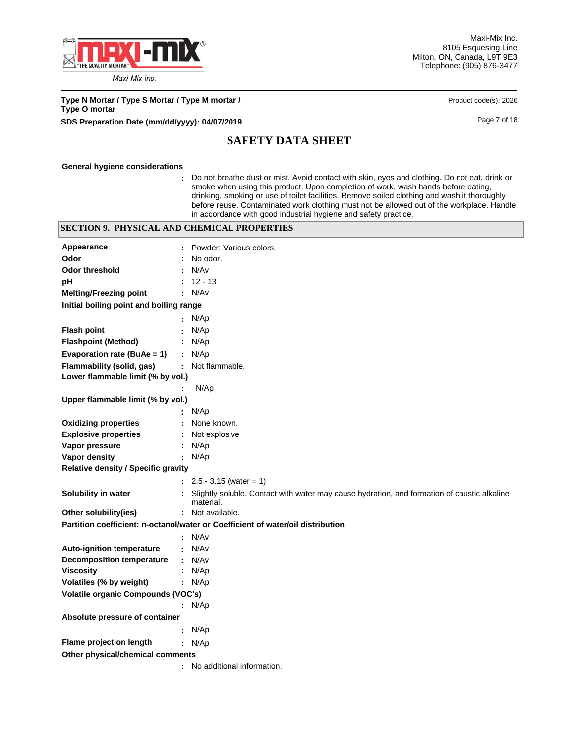

Maxi-Mix Inc. 8105 Esquesing Line Milton, ON, Canada, L9T 9E3 Telephone: (905) 876-3477

**Type N Mortar / Type S Mortar / Type M mortar /** <br> **Product code(s): 2026 Type O mortar SDS Preparation Date (mm/dd/yyyy): 04/07/2019 Page 7 of 18** Page 7 of 18

# **SAFETY DATA SHEET**

#### **General hygiene considerations**

**:** Do not breathe dust or mist. Avoid contact with skin, eyes and clothing. Do not eat, drink or smoke when using this product. Upon completion of work, wash hands before eating, drinking, smoking or use of toilet facilities. Remove soiled clothing and wash it thoroughly before reuse. Contaminated work clothing must not be allowed out of the workplace. Handle in accordance with good industrial hygiene and safety practice.

## **SECTION 9. PHYSICAL AND CHEMICAL PROPERTIES**

| Appearance                                 |    | Powder; Various colors.                                                                                  |
|--------------------------------------------|----|----------------------------------------------------------------------------------------------------------|
| Odor                                       |    | No odor.                                                                                                 |
| <b>Odor threshold</b>                      |    | N/Av                                                                                                     |
| рH                                         |    | 12 - 13                                                                                                  |
| <b>Melting/Freezing point</b>              |    | : N/Av                                                                                                   |
| Initial boiling point and boiling range    |    |                                                                                                          |
|                                            |    | N/Ap                                                                                                     |
| <b>Flash point</b>                         |    | N/Ap                                                                                                     |
| <b>Flashpoint (Method)</b>                 |    | N/Ap                                                                                                     |
| Evaporation rate (BuAe = 1)                |    | : $N/Ap$                                                                                                 |
| Flammability (solid, gas)                  |    | Not flammable.                                                                                           |
| Lower flammable limit (% by vol.)          |    |                                                                                                          |
|                                            |    | N/Ap                                                                                                     |
| Upper flammable limit (% by vol.)          |    |                                                                                                          |
|                                            |    | N/Ap                                                                                                     |
| <b>Oxidizing properties</b>                |    | None known.                                                                                              |
| <b>Explosive properties</b>                |    | Not explosive                                                                                            |
| Vapor pressure                             |    | N/Ap                                                                                                     |
| Vapor density                              | ÷. | N/Ap                                                                                                     |
| <b>Relative density / Specific gravity</b> |    |                                                                                                          |
|                                            |    | $: 2.5 - 3.15$ (water = 1)                                                                               |
| Solubility in water                        |    | Slightly soluble. Contact with water may cause hydration, and formation of caustic alkaline<br>material. |
| Other solubility(ies)                      |    | : Not available.                                                                                         |
|                                            |    | Partition coefficient: n-octanol/water or Coefficient of water/oil distribution                          |
|                                            |    | : N/Av                                                                                                   |
| <b>Auto-ignition temperature</b>           |    | N/Av                                                                                                     |
| <b>Decomposition temperature</b>           | ÷  | N/Av                                                                                                     |
| <b>Viscosity</b>                           |    | : $N/Ap$                                                                                                 |
| Volatiles (% by weight)                    |    | : $N/Ap$                                                                                                 |
| Volatile organic Compounds (VOC's)         |    |                                                                                                          |
|                                            |    | : $N/Ap$                                                                                                 |
| Absolute pressure of container             |    |                                                                                                          |
|                                            |    | : $N/Ap$                                                                                                 |
| Flame projection length                    |    | : $N/Ap$                                                                                                 |
| Other physical/chemical comments           |    |                                                                                                          |
|                                            |    | No additional information.                                                                               |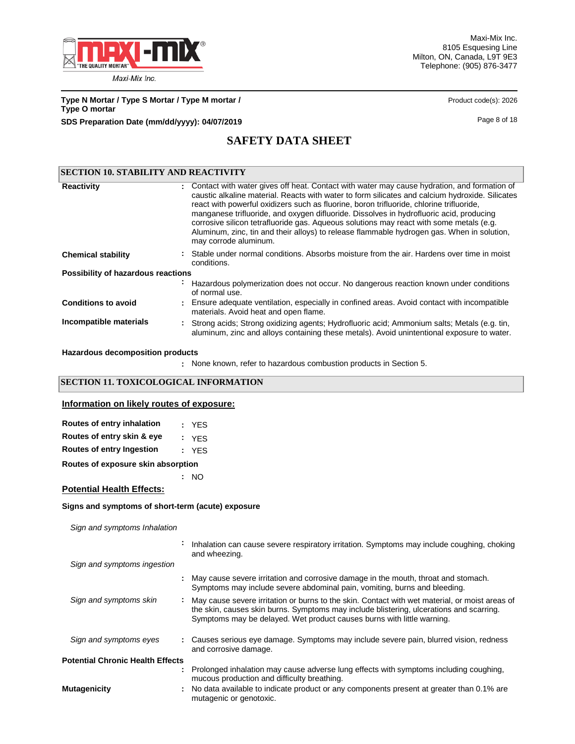

Maxi-Mix Inc. 8105 Esquesing Line Milton, ON, Canada, L9T 9E3 Telephone: (905) 876-3477

**Type N Mortar / Type S Mortar / Type M mortar /** <br> **Product code(s): 2026 Type O mortar SDS Preparation Date (mm/dd/yyyy): 04/07/2019 Page 8 of 18** 

# **SAFETY DATA SHEET**

| <b>SECTION 10. STABILITY AND REACTIVITY</b> |  |                                                                                                                                                                                                                                                                                                                                                                                                                                                                                                                                                                                                           |  |  |
|---------------------------------------------|--|-----------------------------------------------------------------------------------------------------------------------------------------------------------------------------------------------------------------------------------------------------------------------------------------------------------------------------------------------------------------------------------------------------------------------------------------------------------------------------------------------------------------------------------------------------------------------------------------------------------|--|--|
| <b>Reactivity</b>                           |  | : Contact with water gives off heat. Contact with water may cause hydration, and formation of<br>caustic alkaline material. Reacts with water to form silicates and calcium hydroxide. Silicates<br>react with powerful oxidizers such as fluorine, boron trifluoride, chlorine trifluoride,<br>manganese trifluoride, and oxygen difluoride. Dissolves in hydrofluoric acid, producing<br>corrosive silicon tetrafluoride gas. Aqueous solutions may react with some metals (e.g.<br>Aluminum, zinc, tin and their alloys) to release flammable hydrogen gas. When in solution,<br>may corrode aluminum. |  |  |
| <b>Chemical stability</b>                   |  | Stable under normal conditions. Absorbs moisture from the air. Hardens over time in moist<br>conditions.                                                                                                                                                                                                                                                                                                                                                                                                                                                                                                  |  |  |
| Possibility of hazardous reactions          |  |                                                                                                                                                                                                                                                                                                                                                                                                                                                                                                                                                                                                           |  |  |
|                                             |  | Hazardous polymerization does not occur. No dangerous reaction known under conditions<br>of normal use.                                                                                                                                                                                                                                                                                                                                                                                                                                                                                                   |  |  |
| <b>Conditions to avoid</b>                  |  | : Ensure adequate ventilation, especially in confined areas. Avoid contact with incompatible<br>materials. Avoid heat and open flame.                                                                                                                                                                                                                                                                                                                                                                                                                                                                     |  |  |
| Incompatible materials                      |  | : Strong acids; Strong oxidizing agents; Hydrofluoric acid; Ammonium salts; Metals (e.g. tin,<br>aluminum, zinc and alloys containing these metals). Avoid unintentional exposure to water.                                                                                                                                                                                                                                                                                                                                                                                                               |  |  |

**Hazardous decomposition products**

None known, refer to hazardous combustion products in Section 5. **:**

## **SECTION 11. TOXICOLOGICAL INFORMATION**

#### **Information on likely routes of exposure:**

| Routes of entry inhalation | : YES |
|----------------------------|-------|
| Routes of entry skin & eye | : YFS |
| Routes of entry Ingestion  | : YFS |

**Routes of exposure skin absorption**

**:** NO

## **Potential Health Effects:**

## **Signs and symptoms of short-term (acute) exposure**

*Sign and symptoms Inhalation*

|                                         | Inhalation can cause severe respiratory irritation. Symptoms may include coughing, choking<br>and wheezing.                                                                                                                                                         |
|-----------------------------------------|---------------------------------------------------------------------------------------------------------------------------------------------------------------------------------------------------------------------------------------------------------------------|
| Sign and symptoms ingestion             |                                                                                                                                                                                                                                                                     |
|                                         | : May cause severe irritation and corrosive damage in the mouth, throat and stomach.<br>Symptoms may include severe abdominal pain, vomiting, burns and bleeding.                                                                                                   |
| Sign and symptoms skin                  | May cause severe irritation or burns to the skin. Contact with wet material, or moist areas of<br>the skin, causes skin burns. Symptoms may include blistering, ulcerations and scarring.<br>Symptoms may be delayed. Wet product causes burns with little warning. |
| Sign and symptoms eyes                  | : Causes serious eye damage. Symptoms may include severe pain, blurred vision, redness<br>and corrosive damage.                                                                                                                                                     |
| <b>Potential Chronic Health Effects</b> |                                                                                                                                                                                                                                                                     |
|                                         | Prolonged inhalation may cause adverse lung effects with symptoms including coughing,<br>mucous production and difficulty breathing.                                                                                                                                |
| Mutagenicity                            | : No data available to indicate product or any components present at greater than 0.1% are<br>mutagenic or genotoxic.                                                                                                                                               |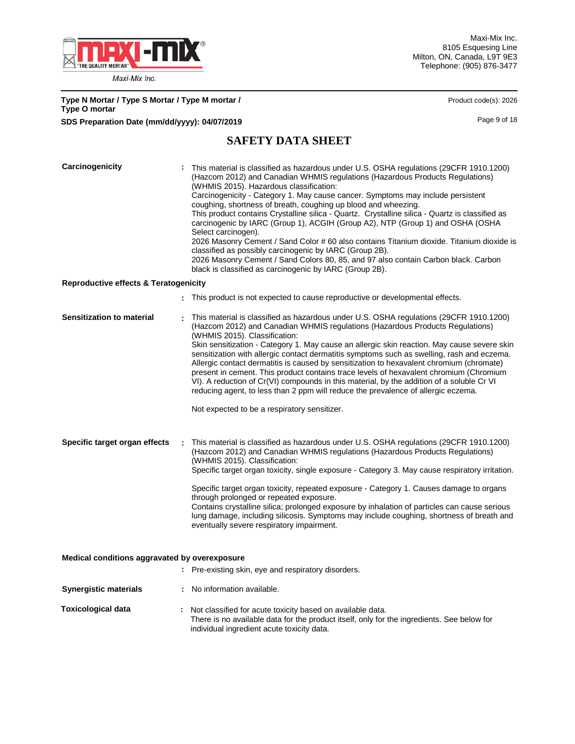

Maxi-Mix Inc. 8105 Esquesing Line Milton, ON, Canada, L9T 9E3 Telephone: (905) 876-3477

| Type N Mortar / Type S Mortar / Type M mortar /<br><b>Type O mortar</b> | Product code(s): 2026 |
|-------------------------------------------------------------------------|-----------------------|
| SDS Preparation Date (mm/dd/yyyy): 04/07/2019                           | Page 9 of 18          |

# **SAFETY DATA SHEET**

| Carcinogenicity                                  | This material is classified as hazardous under U.S. OSHA regulations (29CFR 1910.1200)<br>(Hazcom 2012) and Canadian WHMIS regulations (Hazardous Products Regulations)<br>(WHMIS 2015). Hazardous classification:<br>Carcinogenicity - Category 1. May cause cancer. Symptoms may include persistent<br>coughing, shortness of breath, coughing up blood and wheezing.<br>This product contains Crystalline silica - Quartz. Crystalline silica - Quartz is classified as<br>carcinogenic by IARC (Group 1), ACGIH (Group A2), NTP (Group 1) and OSHA (OSHA<br>Select carcinogen).<br>2026 Masonry Cement / Sand Color # 60 also contains Titanium dioxide. Titanium dioxide is<br>classified as possibly carcinogenic by IARC (Group 2B).<br>2026 Masonry Cement / Sand Colors 80, 85, and 97 also contain Carbon black. Carbon<br>black is classified as carcinogenic by IARC (Group 2B). |
|--------------------------------------------------|----------------------------------------------------------------------------------------------------------------------------------------------------------------------------------------------------------------------------------------------------------------------------------------------------------------------------------------------------------------------------------------------------------------------------------------------------------------------------------------------------------------------------------------------------------------------------------------------------------------------------------------------------------------------------------------------------------------------------------------------------------------------------------------------------------------------------------------------------------------------------------------------|
| <b>Reproductive effects &amp; Teratogenicity</b> |                                                                                                                                                                                                                                                                                                                                                                                                                                                                                                                                                                                                                                                                                                                                                                                                                                                                                              |
|                                                  | : This product is not expected to cause reproductive or developmental effects.                                                                                                                                                                                                                                                                                                                                                                                                                                                                                                                                                                                                                                                                                                                                                                                                               |
| Sensitization to material                        | This material is classified as hazardous under U.S. OSHA regulations (29CFR 1910.1200)<br>(Hazcom 2012) and Canadian WHMIS regulations (Hazardous Products Regulations)<br>(WHMIS 2015). Classification:<br>Skin sensitization - Category 1. May cause an allergic skin reaction. May cause severe skin<br>sensitization with allergic contact dermatitis symptoms such as swelling, rash and eczema.<br>Allergic contact dermatitis is caused by sensitization to hexavalent chromium (chromate)<br>present in cement. This product contains trace levels of hexavalent chromium (Chromium<br>VI). A reduction of Cr(VI) compounds in this material, by the addition of a soluble Cr VI<br>reducing agent, to less than 2 ppm will reduce the prevalence of allergic eczema.<br>Not expected to be a respiratory sensitizer.                                                                |
| Specific target organ effects                    | This material is classified as hazardous under U.S. OSHA regulations (29CFR 1910.1200)<br>(Hazcom 2012) and Canadian WHMIS regulations (Hazardous Products Regulations)<br>(WHMIS 2015). Classification:<br>Specific target organ toxicity, single exposure - Category 3. May cause respiratory irritation.<br>Specific target organ toxicity, repeated exposure - Category 1. Causes damage to organs<br>through prolonged or repeated exposure.<br>Contains crystalline silica; prolonged exposure by inhalation of particles can cause serious<br>lung damage, including silicosis. Symptoms may include coughing, shortness of breath and<br>eventually severe respiratory impairment.                                                                                                                                                                                                   |
| Medical conditions aggravated by overexposure    |                                                                                                                                                                                                                                                                                                                                                                                                                                                                                                                                                                                                                                                                                                                                                                                                                                                                                              |
|                                                  | : Pre-existing skin, eye and respiratory disorders.                                                                                                                                                                                                                                                                                                                                                                                                                                                                                                                                                                                                                                                                                                                                                                                                                                          |
| <b>Synergistic materials</b>                     | : No information available.                                                                                                                                                                                                                                                                                                                                                                                                                                                                                                                                                                                                                                                                                                                                                                                                                                                                  |
| <b>Toxicological data</b>                        | : Not classified for acute toxicity based on available data.<br>There is no available data for the product itself, only for the ingredients. See below for<br>individual ingredient acute toxicity data.                                                                                                                                                                                                                                                                                                                                                                                                                                                                                                                                                                                                                                                                                     |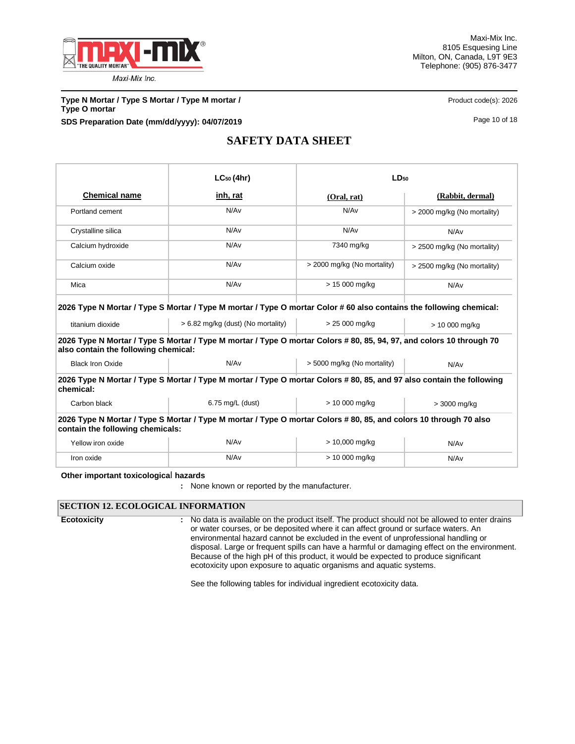

**Type N Mortar / Type S Mortar / Type M mortar / <b>Product code(s): 2026** Product code(s): 2026 **Type O mortar SDS Preparation Date (mm/dd/yyyy): 04/07/2019 Page 10 of 18** Page 10 of 18

# **SAFETY DATA SHEET**

|                                                          | $LC_{50}$ (4hr)                                                                                                                                                                                                                                                                     | LD <sub>50</sub>            |                             |  |  |
|----------------------------------------------------------|-------------------------------------------------------------------------------------------------------------------------------------------------------------------------------------------------------------------------------------------------------------------------------------|-----------------------------|-----------------------------|--|--|
| <b>Chemical name</b>                                     | inh, rat                                                                                                                                                                                                                                                                            | (Oral, rat)                 | (Rabbit, dermal)            |  |  |
| Portland cement                                          | N/Av                                                                                                                                                                                                                                                                                | N/A <sub>v</sub>            | > 2000 mg/kg (No mortality) |  |  |
| Crystalline silica                                       | N/Av                                                                                                                                                                                                                                                                                | N/A <sub>v</sub>            | N/Av                        |  |  |
| Calcium hydroxide                                        | N/Av                                                                                                                                                                                                                                                                                | 7340 mg/kg                  | > 2500 mg/kg (No mortality) |  |  |
| Calcium oxide                                            | N/Av                                                                                                                                                                                                                                                                                | > 2000 mg/kg (No mortality) | > 2500 mg/kg (No mortality) |  |  |
| Mica                                                     | N/Av                                                                                                                                                                                                                                                                                | > 15 000 mg/kg              | N/Av                        |  |  |
| titanium dioxide<br>also contain the following chemical: | 2026 Type N Mortar / Type S Mortar / Type M mortar / Type O mortar Color # 60 also contains the following chemical:<br>$> 6.82$ mg/kg (dust) (No mortality)<br>2026 Type N Mortar / Type S Mortar / Type M mortar / Type O mortar Colors # 80, 85, 94, 97, and colors 10 through 70 | > 25 000 mg/kg              | > 10 000 mg/kg              |  |  |
| <b>Black Iron Oxide</b>                                  | N/Av                                                                                                                                                                                                                                                                                | > 5000 mg/kg (No mortality) | N/Av                        |  |  |
| chemical:                                                | 2026 Type N Mortar / Type S Mortar / Type M mortar / Type O mortar Colors # 80, 85, and 97 also contain the following                                                                                                                                                               |                             |                             |  |  |
| Carbon black                                             | $6.75$ mg/L (dust)                                                                                                                                                                                                                                                                  | > 10 000 mg/kg              | > 3000 mg/kg                |  |  |
| contain the following chemicals:                         | 2026 Type N Mortar / Type S Mortar / Type M mortar / Type O mortar Colors # 80, 85, and colors 10 through 70 also                                                                                                                                                                   |                             |                             |  |  |
| Yellow iron oxide                                        | N/Av                                                                                                                                                                                                                                                                                | > 10,000 mg/kg              | N/Av                        |  |  |
| Iron oxide                                               | N/Av                                                                                                                                                                                                                                                                                | > 10 000 mg/kg              | N/Av                        |  |  |

#### **Other important toxicologica**l **hazards**

**:** None known or reported by the manufacturer.

## **SECTION 12. ECOLOGICAL INFORMATION**

**Ecotoxicity :**

No data is available on the product itself. The product should not be allowed to enter drains or water courses, or be deposited where it can affect ground or surface waters. An environmental hazard cannot be excluded in the event of unprofessional handling or disposal. Large or frequent spills can have a harmful or damaging effect on the environment. Because of the high pH of this product, it would be expected to produce significant ecotoxicity upon exposure to aquatic organisms and aquatic systems.

See the following tables for individual ingredient ecotoxicity data.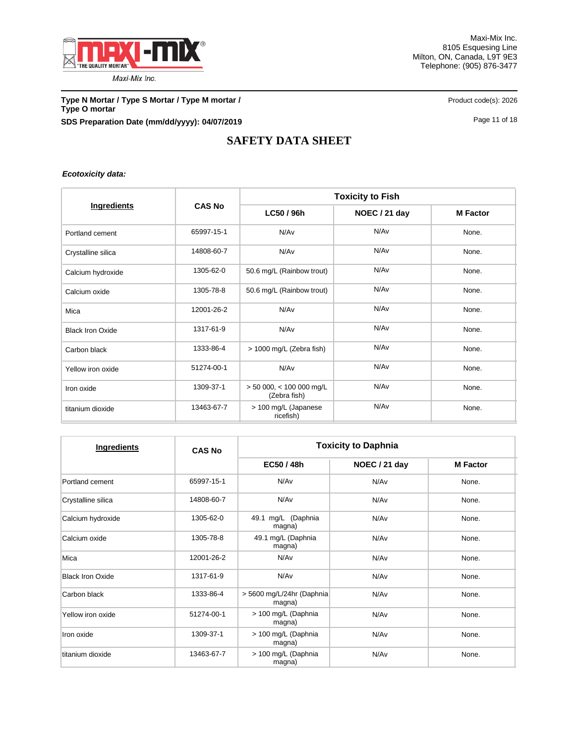

**Type N Mortar / Type S Mortar / Type M mortar /** <br>Product code(s): 2026 **Type O mortar SDS Preparation Date (mm/dd/yyyy): 04/07/2019 Page 11 of 18** Page 11 of 18

# **SAFETY DATA SHEET**

*Ecotoxicity data:*

|                         |               | <b>Toxicity to Fish</b>                    |                  |                 |  |  |
|-------------------------|---------------|--------------------------------------------|------------------|-----------------|--|--|
| Ingredients             | <b>CAS No</b> | LC50 / 96h                                 | NOEC / 21 day    | <b>M</b> Factor |  |  |
| Portland cement         | 65997-15-1    | N/Av                                       | N/A <sub>v</sub> | None.           |  |  |
| Crystalline silica      | 14808-60-7    | N/Av                                       | N/Av             | None.           |  |  |
| Calcium hydroxide       | 1305-62-0     | 50.6 mg/L (Rainbow trout)                  | N/Av             | None.           |  |  |
| Calcium oxide           | 1305-78-8     | 50.6 mg/L (Rainbow trout)                  | N/Av             | None.           |  |  |
| Mica                    | 12001-26-2    | N/Av                                       | N/A <sub>v</sub> | None.           |  |  |
| <b>Black Iron Oxide</b> | 1317-61-9     | N/Av                                       | N/Av             | None.           |  |  |
| Carbon black            | 1333-86-4     | > 1000 mg/L (Zebra fish)                   | N/A <sub>v</sub> | None.           |  |  |
| Yellow iron oxide       | 51274-00-1    | N/Av                                       | N/Av             | None.           |  |  |
| Iron oxide              | 1309-37-1     | $> 50000$ , < 100 000 mg/L<br>(Zebra fish) | N/Av             | None.           |  |  |
| titanium dioxide        | 13463-67-7    | > 100 mg/L (Japanese<br>ricefish)          | N/Av             | None.           |  |  |

| Ingredients             | <b>CAS No</b> | <b>Toxicity to Daphnia</b>           |               |                 |  |  |
|-------------------------|---------------|--------------------------------------|---------------|-----------------|--|--|
|                         |               | EC50 / 48h                           | NOEC / 21 day | <b>M</b> Factor |  |  |
| Portland cement         | 65997-15-1    | N/Av                                 | N/Av          | None.           |  |  |
| Crystalline silica      | 14808-60-7    | N/Av                                 | N/Av          | None.           |  |  |
| Calcium hydroxide       | 1305-62-0     | 49.1 mg/L (Daphnia<br>N/Av<br>magna) |               | None.           |  |  |
| Calcium oxide           | 1305-78-8     | 49.1 mg/L (Daphnia<br>magna)         | N/Av          | None.           |  |  |
| Mica                    | 12001-26-2    | N/Av                                 | N/Av          | None.           |  |  |
| <b>Black Iron Oxide</b> | 1317-61-9     | N/Av                                 | N/Av          | None.           |  |  |
| Carbon black            | 1333-86-4     | > 5600 mg/L/24hr (Daphnia)<br>magna) | N/Av          | None.           |  |  |
| Yellow iron oxide       | 51274-00-1    | > 100 mg/L (Daphnia<br>magna)        | N/Av          | None.           |  |  |
| Iron oxide              | 1309-37-1     | > 100 mg/L (Daphnia<br>magna)        | N/Av          | None.           |  |  |
| titanium dioxide        | 13463-67-7    | > 100 mg/L (Daphnia<br>magna)        | N/Av          | None.           |  |  |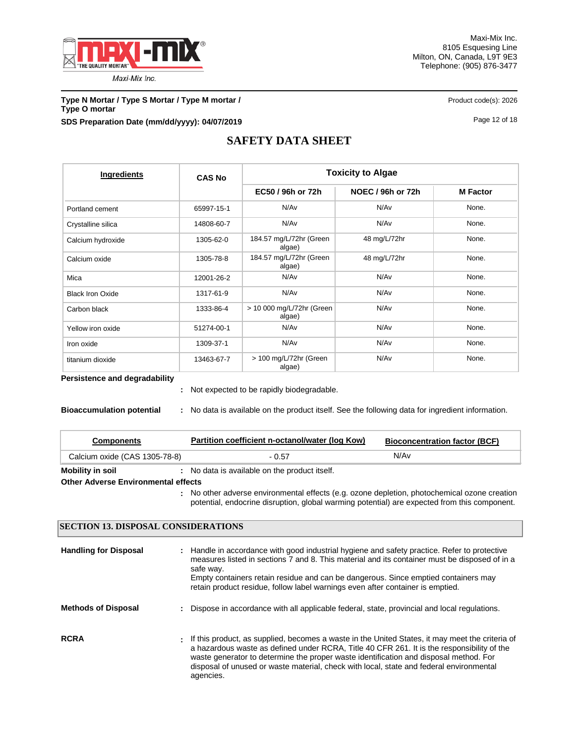

Maxi-Mix Inc. 8105 Esquesing Line Milton, ON, Canada, L9T 9E3 Telephone: (905) 876-3477

**Type N Mortar / Type S Mortar / Type M mortar /** <br> **Product code(s): 2026 Type O mortar SDS Preparation Date (mm/dd/yyyy): 04/07/2019 Page 12 of 18** Page 12 of 18

# **SAFETY DATA SHEET**

| Ingredients             | <b>CAS No</b> | <b>Toxicity to Algae</b>            |                   |                 |  |  |
|-------------------------|---------------|-------------------------------------|-------------------|-----------------|--|--|
|                         |               | EC50 / 96h or 72h                   | NOEC / 96h or 72h | <b>M</b> Factor |  |  |
| Portland cement         | 65997-15-1    | N/Av                                | N/Av              | None.           |  |  |
| Crystalline silica      | 14808-60-7    | N/Av                                | N/Av              | None.           |  |  |
| Calcium hydroxide       | 1305-62-0     | 184.57 mg/L/72hr (Green<br>algae)   | 48 mg/L/72hr      | None.           |  |  |
| Calcium oxide           | 1305-78-8     | 184.57 mg/L/72hr (Green<br>algae)   | 48 mg/L/72hr      | None.           |  |  |
| Mica                    | 12001-26-2    | N/Av                                | N/Av              | None.           |  |  |
| <b>Black Iron Oxide</b> | 1317-61-9     | N/Av                                | N/Av              | None.           |  |  |
| Carbon black            | 1333-86-4     | > 10 000 mg/L/72hr (Green<br>algae) | N/Av              | None.           |  |  |
| Yellow iron oxide       | 51274-00-1    | N/Av                                | N/Av              | None.           |  |  |
| Iron oxide              | 1309-37-1     | N/Av                                | N/Av              | None.           |  |  |
| titanium dioxide        | 13463-67-7    | > 100 mg/L/72hr (Green<br>algae)    | N/Av              | None.           |  |  |

**Persistence and degradability**

Not expected to be rapidly biodegradable. **:**

**Bioaccumulation potential :** No data is available on the product itself. See the following data for ingredient information.

| <b>Components</b>                          | Partition coefficient n-octanol/water (log Kow)                                                                                                                                              | <b>Bioconcentration factor (BCF)</b> |
|--------------------------------------------|----------------------------------------------------------------------------------------------------------------------------------------------------------------------------------------------|--------------------------------------|
| Calcium oxide (CAS 1305-78-8)              | - 0.57                                                                                                                                                                                       | N/Av                                 |
| <b>Mobility in soil</b>                    | : No data is available on the product itself.                                                                                                                                                |                                      |
| <b>Other Adverse Environmental effects</b> |                                                                                                                                                                                              |                                      |
|                                            | : No other adverse environmental effects (e.g. ozone depletion, photochemical ozone creation<br>potential, endocrine disruption, global warming potential) are expected from this component. |                                      |

## **SECTION 13. DISPOSAL CONSIDERATIONS**

| <b>Handling for Disposal</b> | : Handle in accordance with good industrial hygiene and safety practice. Refer to protective<br>measures listed in sections 7 and 8. This material and its container must be disposed of in a<br>safe way.<br>Empty containers retain residue and can be dangerous. Since emptied containers may<br>retain product residue, follow label warnings even after container is emptied.               |
|------------------------------|--------------------------------------------------------------------------------------------------------------------------------------------------------------------------------------------------------------------------------------------------------------------------------------------------------------------------------------------------------------------------------------------------|
| <b>Methods of Disposal</b>   | : Dispose in accordance with all applicable federal, state, provincial and local regulations.                                                                                                                                                                                                                                                                                                    |
| <b>RCRA</b>                  | . If this product, as supplied, becomes a waste in the United States, it may meet the criteria of<br>a hazardous waste as defined under RCRA. Title 40 CFR 261. It is the responsibility of the<br>waste generator to determine the proper waste identification and disposal method. For<br>disposal of unused or waste material, check with local, state and federal environmental<br>agencies. |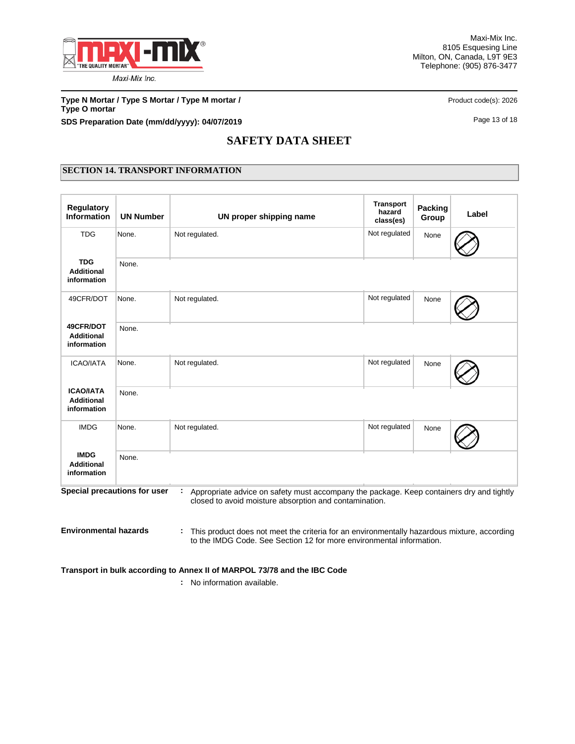

**Type N Mortar / Type S Mortar / Type M mortar /** <br> **Product code(s): 2026 Type O mortar SDS Preparation Date (mm/dd/yyyy): 04/07/2019 Page 13 of 18** Page 13 of 18

# **SAFETY DATA SHEET**

## **SECTION 14. TRANSPORT INFORMATION**

| <b>Regulatory</b><br><b>Information</b>              | <b>UN Number</b>             | UN proper shipping name                                                                                                                            | <b>Transport</b><br>hazard<br>class(es) | <b>Packing</b><br>Group | Label |
|------------------------------------------------------|------------------------------|----------------------------------------------------------------------------------------------------------------------------------------------------|-----------------------------------------|-------------------------|-------|
| <b>TDG</b>                                           | None.                        | Not regulated.                                                                                                                                     | Not regulated                           | None                    |       |
| <b>TDG</b><br><b>Additional</b><br>information       | None.                        |                                                                                                                                                    |                                         |                         |       |
| 49CFR/DOT                                            | None.                        | Not regulated.                                                                                                                                     | Not regulated                           | None                    |       |
| 49CFR/DOT<br><b>Additional</b><br>information        | None.                        |                                                                                                                                                    |                                         |                         |       |
| <b>ICAO/IATA</b>                                     | None.                        | Not regulated.                                                                                                                                     | Not regulated                           | None                    |       |
| <b>ICAO/IATA</b><br><b>Additional</b><br>information | None.                        |                                                                                                                                                    |                                         |                         |       |
| <b>IMDG</b>                                          | None.                        | Not regulated.                                                                                                                                     | Not regulated                           | None                    |       |
| <b>IMDG</b><br><b>Additional</b><br>information      | None.                        |                                                                                                                                                    |                                         |                         |       |
|                                                      | Special precautions for user | Appropriate advice on safety must accompany the package. Keep containers dry and tightly<br>closed to avoid moisture absorption and contamination. |                                         |                         |       |
| <b>Environmental hazards</b>                         |                              | This product does not meet the criteria for an environmentally hazardous mixture, according                                                        |                                         |                         |       |

to the IMDG Code. See Section 12 for more environmental information.

**Transport in bulk according to Annex II of MARPOL 73/78 and the IBC Code**

**:** No information available.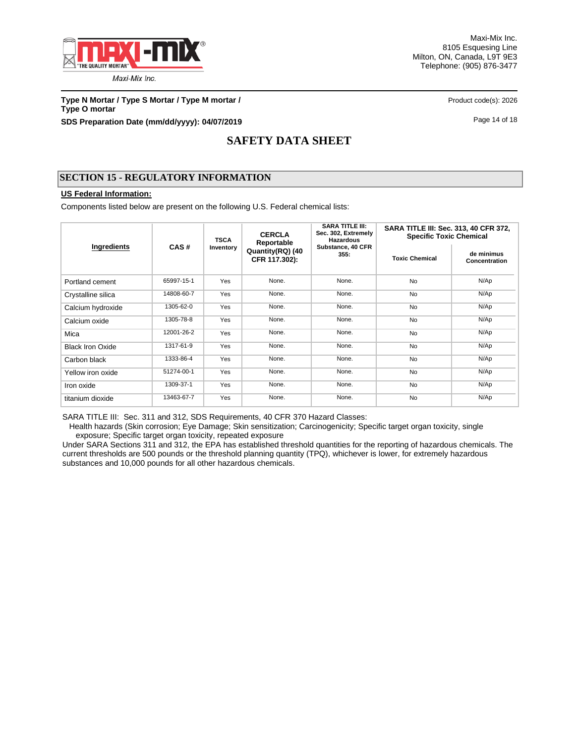

**Type N Mortar / Type S Mortar / Type M mortar /** <br> **Product code(s): 2026 Type O mortar SDS Preparation Date (mm/dd/yyyy): 04/07/2019 Page 14 of 18** Page 14 of 18

# **SAFETY DATA SHEET**

## **SECTION 15 - REGULATORY INFORMATION**

## **US Federal Information:**

Components listed below are present on the following U.S. Federal chemical lists:

|                         |            | <b>TSCA</b> | <b>CERCLA</b><br>Reportable       | <b>SARA TITLE III:</b><br>Sec. 302, Extremely<br><b>Hazardous</b> | SARA TITLE III: Sec. 313, 40 CFR 372,<br><b>Specific Toxic Chemical</b> |                             |  |
|-------------------------|------------|-------------|-----------------------------------|-------------------------------------------------------------------|-------------------------------------------------------------------------|-----------------------------|--|
| Ingredients             | CAS#       | Inventory   | Quantity(RQ) (40<br>CFR 117.302): | Substance, 40 CFR<br>355:                                         | <b>Toxic Chemical</b>                                                   | de minimus<br>Concentration |  |
| Portland cement         | 65997-15-1 | Yes         | None.                             | None.                                                             | <b>No</b>                                                               | N/Ap                        |  |
| Crystalline silica      | 14808-60-7 | Yes         | None.                             | None.                                                             | <b>No</b>                                                               | N/Ap                        |  |
| Calcium hydroxide       | 1305-62-0  | Yes         | None.                             | None.                                                             | <b>No</b>                                                               | N/Ap                        |  |
| Calcium oxide           | 1305-78-8  | Yes         | None.                             | None.                                                             | <b>No</b>                                                               | N/Ap                        |  |
| Mica                    | 12001-26-2 | Yes         | None.                             | None.                                                             | <b>No</b>                                                               | N/Ap                        |  |
| <b>Black Iron Oxide</b> | 1317-61-9  | Yes         | None.                             | None.                                                             | <b>No</b>                                                               | N/Ap                        |  |
| Carbon black            | 1333-86-4  | Yes         | None.                             | None.                                                             | <b>No</b>                                                               | N/Ap                        |  |
| Yellow iron oxide       | 51274-00-1 | Yes         | None.                             | None.                                                             | <b>No</b>                                                               | N/Ap                        |  |
| Iron oxide              | 1309-37-1  | Yes         | None.                             | None.                                                             | <b>No</b>                                                               | N/Ap                        |  |
| titanium dioxide        | 13463-67-7 | Yes         | None.                             | None.                                                             | <b>No</b>                                                               | N/Ap                        |  |

SARA TITLE III: Sec. 311 and 312, SDS Requirements, 40 CFR 370 Hazard Classes:

 Health hazards (Skin corrosion; Eye Damage; Skin sensitization; Carcinogenicity; Specific target organ toxicity, single exposure; Specific target organ toxicity, repeated exposure

Under SARA Sections 311 and 312, the EPA has established threshold quantities for the reporting of hazardous chemicals. The current thresholds are 500 pounds or the threshold planning quantity (TPQ), whichever is lower, for extremely hazardous substances and 10,000 pounds for all other hazardous chemicals.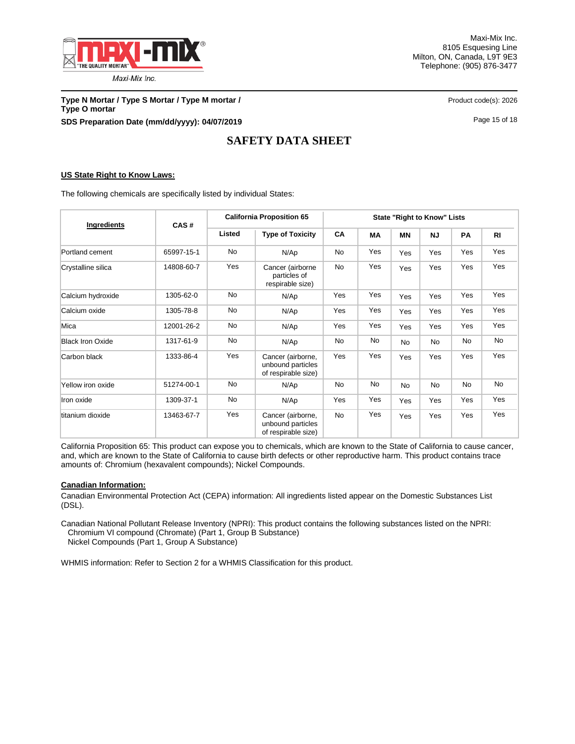

Maxi-Mix Inc. 8105 Esquesing Line Milton, ON, Canada, L9T 9E3 Telephone: (905) 876-3477

**Type N Mortar / Type S Mortar / Type M mortar /** <br> **Product code(s): 2026 Type O mortar SDS Preparation Date (mm/dd/yyyy): 04/07/2019 Page 15 of 18** Page 15 of 18

# **SAFETY DATA SHEET**

## **US State Right to Know Laws:**

The following chemicals are specifically listed by individual States:

| Ingredients             | CAS#       |           | <b>California Proposition 65</b>                              | <b>State "Right to Know" Lists</b> |           |           |           |     |                |
|-------------------------|------------|-----------|---------------------------------------------------------------|------------------------------------|-----------|-----------|-----------|-----|----------------|
|                         |            | Listed    | <b>Type of Toxicity</b>                                       | <b>CA</b>                          | <b>MA</b> | <b>MN</b> | <b>NJ</b> | PA  | R <sub>l</sub> |
| Portland cement         | 65997-15-1 | <b>No</b> | N/Ap                                                          | <b>No</b>                          | Yes       | Yes       | Yes       | Yes | Yes            |
| Crystalline silica      | 14808-60-7 | Yes       | Cancer (airborne<br>particles of<br>respirable size)          | <b>No</b>                          | Yes       | Yes       | Yes       | Yes | Yes            |
| Calcium hydroxide       | 1305-62-0  | No        | N/Ap                                                          | Yes                                | Yes       | Yes       | Yes       | Yes | Yes            |
| Calcium oxide           | 1305-78-8  | No        | N/Ap                                                          | Yes                                | Yes       | Yes       | Yes       | Yes | Yes            |
| Mica                    | 12001-26-2 | No        | N/Ap                                                          | Yes                                | Yes       | Yes       | Yes       | Yes | Yes            |
| <b>Black Iron Oxide</b> | 1317-61-9  | <b>No</b> | N/Ap                                                          | No                                 | No        | <b>No</b> | <b>No</b> | No  | No             |
| Carbon black            | 1333-86-4  | Yes       | Cancer (airborne,<br>unbound particles<br>of respirable size) | Yes                                | Yes       | Yes       | Yes       | Yes | Yes            |
| Yellow iron oxide       | 51274-00-1 | <b>No</b> | N/Ap                                                          | No                                 | <b>No</b> | <b>No</b> | <b>No</b> | No  | <b>No</b>      |
| Iron oxide              | 1309-37-1  | No        | N/Ap                                                          | Yes                                | Yes       | Yes       | Yes       | Yes | Yes            |
| titanium dioxide        | 13463-67-7 | Yes       | Cancer (airborne,<br>unbound particles<br>of respirable size) | <b>No</b>                          | Yes       | Yes       | Yes       | Yes | Yes            |

California Proposition 65: This product can expose you to chemicals, which are known to the State of California to cause cancer, and, which are known to the State of California to cause birth defects or other reproductive harm. This product contains trace amounts of: Chromium (hexavalent compounds); Nickel Compounds.

#### **Canadian Information:**

Canadian Environmental Protection Act (CEPA) information: All ingredients listed appear on the Domestic Substances List (DSL).

Canadian National Pollutant Release Inventory (NPRI): This product contains the following substances listed on the NPRI: Chromium VI compound (Chromate) (Part 1, Group B Substance) Nickel Compounds (Part 1, Group A Substance)

WHMIS information: Refer to Section 2 for a WHMIS Classification for this product.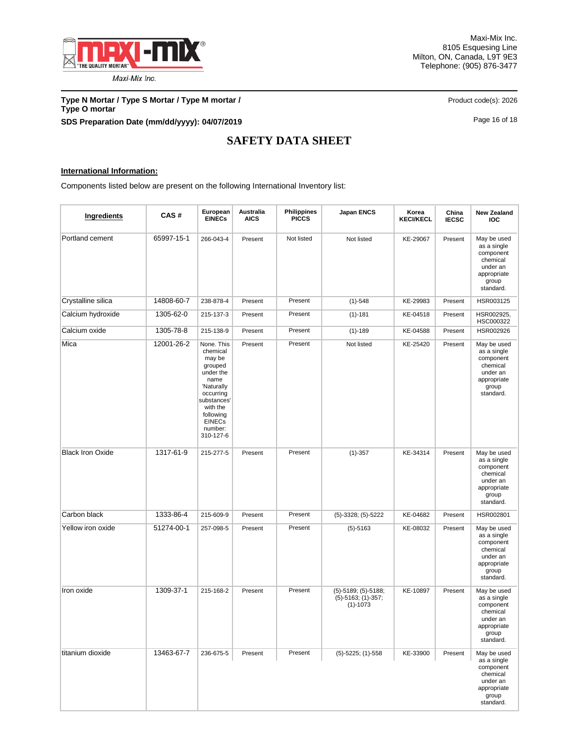

**Type N Mortar / Type S Mortar / Type M mortar /** <br>Product code(s): 2026 **Type O mortar SDS Preparation Date (mm/dd/yyyy): 04/07/2019 Page 16 of 18** Page 16 of 18

# **SAFETY DATA SHEET**

## **International Information:**

Components listed below are present on the following International Inventory list:

| Ingredients             | CAS#       | European<br><b>EINECs</b>                                                                                                                                                   | Australia<br><b>AICS</b> | <b>Philippines</b><br><b>PICCS</b> | <b>Japan ENCS</b>                                                   | Korea<br><b>KECI/KECL</b> | China<br><b>IECSC</b> | <b>New Zealand</b><br><b>IOC</b>                                                                     |
|-------------------------|------------|-----------------------------------------------------------------------------------------------------------------------------------------------------------------------------|--------------------------|------------------------------------|---------------------------------------------------------------------|---------------------------|-----------------------|------------------------------------------------------------------------------------------------------|
| Portland cement         | 65997-15-1 | 266-043-4                                                                                                                                                                   | Present                  | Not listed                         | Not listed                                                          | KE-29067                  | Present               | May be used<br>as a single<br>component<br>chemical<br>under an<br>appropriate<br>group<br>standard. |
| Crystalline silica      | 14808-60-7 | 238-878-4                                                                                                                                                                   | Present                  | Present                            | $(1)-548$                                                           | KE-29983                  | Present               | HSR003125                                                                                            |
| Calcium hydroxide       | 1305-62-0  | 215-137-3                                                                                                                                                                   | Present                  | Present                            | $(1) - 181$                                                         | KE-04518                  | Present               | HSR002925.<br>HSC000322                                                                              |
| Calcium oxide           | 1305-78-8  | 215-138-9                                                                                                                                                                   | Present                  | Present                            | $(1)-189$                                                           | KE-04588                  | Present               | HSR002926                                                                                            |
| Mica                    | 12001-26-2 | None. This<br>chemical<br>may be<br>grouped<br>under the<br>name<br>'Naturally<br>occurring<br>substances<br>with the<br>following<br><b>EINECs</b><br>number:<br>310-127-6 | Present                  | Present                            | Not listed                                                          | KE-25420                  | Present               | May be used<br>as a single<br>component<br>chemical<br>under an<br>appropriate<br>group<br>standard. |
| <b>Black Iron Oxide</b> | 1317-61-9  | 215-277-5                                                                                                                                                                   | Present                  | Present                            | $(1)-357$                                                           | KE-34314                  | Present               | May be used<br>as a single<br>component<br>chemical<br>under an<br>appropriate<br>group<br>standard. |
| Carbon black            | 1333-86-4  | 215-609-9                                                                                                                                                                   | Present                  | Present                            | $(5)-3328$ ; $(5)-5222$                                             | KE-04682                  | Present               | HSR002801                                                                                            |
| Yellow iron oxide       | 51274-00-1 | 257-098-5                                                                                                                                                                   | Present                  | Present                            | $(5)-5163$                                                          | KE-08032                  | Present               | May be used<br>as a single<br>component<br>chemical<br>under an<br>appropriate<br>group<br>standard. |
| Iron oxide              | 1309-37-1  | 215-168-2                                                                                                                                                                   | Present                  | Present                            | (5)-5189; (5)-5188;<br>$(5) - 5163$ ; $(1) - 357$ ;<br>$(1) - 1073$ | KE-10897                  | Present               | May be used<br>as a single<br>component<br>chemical<br>under an<br>appropriate<br>group<br>standard. |
| titanium dioxide        | 13463-67-7 | 236-675-5                                                                                                                                                                   | Present                  | Present                            | $(5)$ -5225; (1)-558                                                | KE-33900                  | Present               | May be used<br>as a single<br>component<br>chemical<br>under an<br>appropriate<br>group<br>standard. |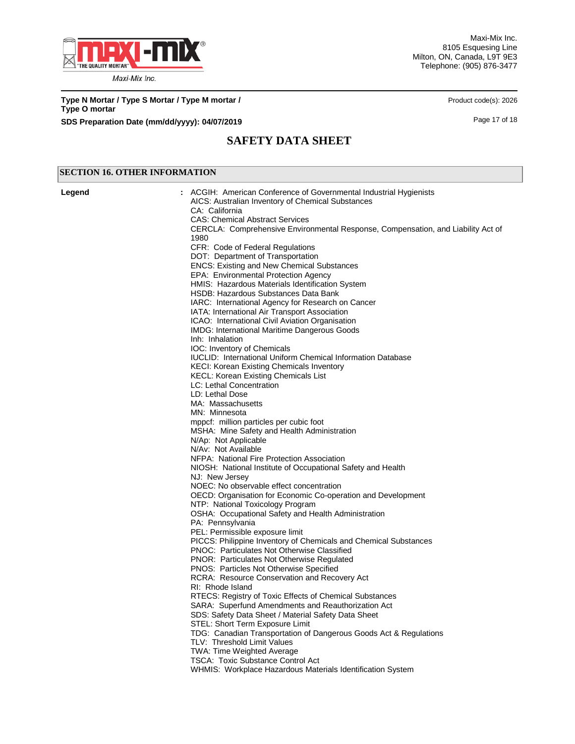

Maxi-Mix Inc. 8105 Esquesing Line Milton, ON, Canada, L9T 9E3 Telephone: (905) 876-3477

**Type N Mortar / Type S Mortar / Type M mortar /** <br>Product code(s): 2026 **Type O mortar SDS Preparation Date (mm/dd/yyyy): 04/07/2019 Page 17 of 18** Page 17 of 18

# **SAFETY DATA SHEET**

## **SECTION 16. OTHER INFORMATION**

| Legend | : ACGIH: American Conference of Governmental Industrial Hygienists<br>AICS: Australian Inventory of Chemical Substances<br>CA: California<br><b>CAS: Chemical Abstract Services</b><br>CERCLA: Comprehensive Environmental Response, Compensation, and Liability Act of<br>1980<br>CFR: Code of Federal Regulations |
|--------|---------------------------------------------------------------------------------------------------------------------------------------------------------------------------------------------------------------------------------------------------------------------------------------------------------------------|
|        | DOT: Department of Transportation                                                                                                                                                                                                                                                                                   |
|        | <b>ENCS: Existing and New Chemical Substances</b>                                                                                                                                                                                                                                                                   |
|        | EPA: Environmental Protection Agency                                                                                                                                                                                                                                                                                |
|        | HMIS: Hazardous Materials Identification System                                                                                                                                                                                                                                                                     |
|        | HSDB: Hazardous Substances Data Bank                                                                                                                                                                                                                                                                                |
|        | IARC: International Agency for Research on Cancer                                                                                                                                                                                                                                                                   |
|        | IATA: International Air Transport Association<br>ICAO: International Civil Aviation Organisation                                                                                                                                                                                                                    |
|        | <b>IMDG: International Maritime Dangerous Goods</b>                                                                                                                                                                                                                                                                 |
|        | Inh: Inhalation                                                                                                                                                                                                                                                                                                     |
|        | IOC: Inventory of Chemicals                                                                                                                                                                                                                                                                                         |
|        | <b>IUCLID: International Uniform Chemical Information Database</b>                                                                                                                                                                                                                                                  |
|        | <b>KECI: Korean Existing Chemicals Inventory</b>                                                                                                                                                                                                                                                                    |
|        | <b>KECL: Korean Existing Chemicals List</b>                                                                                                                                                                                                                                                                         |
|        | LC: Lethal Concentration                                                                                                                                                                                                                                                                                            |
|        | LD: Lethal Dose                                                                                                                                                                                                                                                                                                     |
|        | MA: Massachusetts<br>MN: Minnesota                                                                                                                                                                                                                                                                                  |
|        | mppcf: million particles per cubic foot                                                                                                                                                                                                                                                                             |
|        | MSHA: Mine Safety and Health Administration                                                                                                                                                                                                                                                                         |
|        | N/Ap: Not Applicable                                                                                                                                                                                                                                                                                                |
|        | N/Av: Not Available                                                                                                                                                                                                                                                                                                 |
|        | NFPA: National Fire Protection Association                                                                                                                                                                                                                                                                          |
|        | NIOSH: National Institute of Occupational Safety and Health                                                                                                                                                                                                                                                         |
|        | NJ: New Jersey                                                                                                                                                                                                                                                                                                      |
|        | NOEC: No observable effect concentration                                                                                                                                                                                                                                                                            |
|        | OECD: Organisation for Economic Co-operation and Development                                                                                                                                                                                                                                                        |
|        | NTP: National Toxicology Program                                                                                                                                                                                                                                                                                    |
|        | OSHA: Occupational Safety and Health Administration<br>PA: Pennsylvania                                                                                                                                                                                                                                             |
|        | PEL: Permissible exposure limit                                                                                                                                                                                                                                                                                     |
|        | PICCS: Philippine Inventory of Chemicals and Chemical Substances                                                                                                                                                                                                                                                    |
|        | <b>PNOC: Particulates Not Otherwise Classified</b>                                                                                                                                                                                                                                                                  |
|        | <b>PNOR: Particulates Not Otherwise Regulated</b>                                                                                                                                                                                                                                                                   |
|        | <b>PNOS: Particles Not Otherwise Specified</b>                                                                                                                                                                                                                                                                      |
|        | RCRA: Resource Conservation and Recovery Act                                                                                                                                                                                                                                                                        |
|        | RI: Rhode Island                                                                                                                                                                                                                                                                                                    |
|        | RTECS: Registry of Toxic Effects of Chemical Substances                                                                                                                                                                                                                                                             |
|        | SARA: Superfund Amendments and Reauthorization Act<br>SDS: Safety Data Sheet / Material Safety Data Sheet                                                                                                                                                                                                           |
|        | STEL: Short Term Exposure Limit                                                                                                                                                                                                                                                                                     |
|        | TDG: Canadian Transportation of Dangerous Goods Act & Regulations                                                                                                                                                                                                                                                   |
|        | TLV: Threshold Limit Values                                                                                                                                                                                                                                                                                         |
|        | TWA: Time Weighted Average                                                                                                                                                                                                                                                                                          |
|        | <b>TSCA: Toxic Substance Control Act</b>                                                                                                                                                                                                                                                                            |
|        | WHMIS: Workplace Hazardous Materials Identification System                                                                                                                                                                                                                                                          |